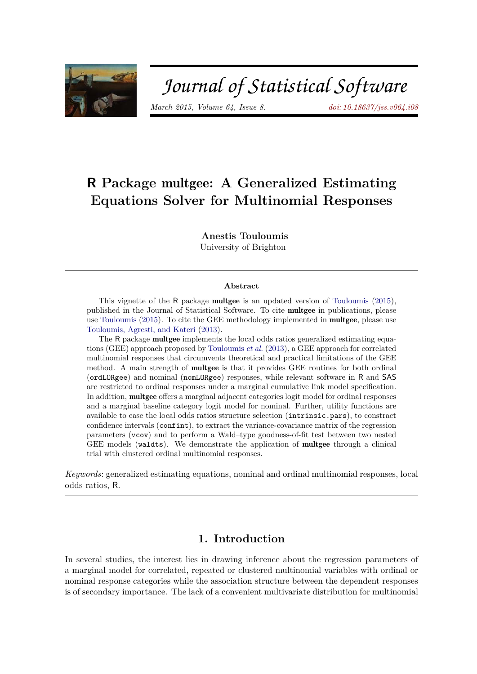

# Journal of Statistical Software

*March 2015, Volume 64, Issue 8. [doi: 10.18637/jss.v064.i08](https://doi.org/10.18637/jss.v064.i08)*

## **R Package** multgee**: A Generalized Estimating Equations Solver for Multinomial Responses**

**Anestis Touloumis**

University of Brighton

#### **Abstract**

This vignette of the R package multgee is an updated version of [Touloumis](#page-13-0) [\(2015\)](#page-13-0), published in the Journal of Statistical Software. To cite multgee in publications, please use [Touloumis](#page-13-0) [\(2015\)](#page-13-0). To cite the GEE methodology implemented in multgee, please use [Touloumis, Agresti, and Kateri](#page-13-1) [\(2013\)](#page-13-1).

The R package **multgee** implements the local odds ratios generalized estimating equations (GEE) approach proposed by [Touloumis](#page-13-1) *et al.* [\(2013\)](#page-13-1), a GEE approach for correlated multinomial responses that circumvents theoretical and practical limitations of the GEE method. A main strength of multgee is that it provides GEE routines for both ordinal (ordLORgee) and nominal (nomLORgee) responses, while relevant software in R and SAS are restricted to ordinal responses under a marginal cumulative link model specification. In addition, multgee offers a marginal adjacent categories logit model for ordinal responses and a marginal baseline category logit model for nominal. Further, utility functions are available to ease the local odds ratios structure selection (intrinsic.pars), to constract confidence intervals (confint), to extract the variance-covariance matrix of the regression parameters (vcov) and to perform a Wald–type goodness-of-fit test between two nested GEE models (waldts). We demonstrate the application of multgee through a clinical trial with clustered ordinal multinomial responses.

*Keywords*: generalized estimating equations, nominal and ordinal multinomial responses, local odds ratios, R.

## **1. Introduction**

In several studies, the interest lies in drawing inference about the regression parameters of a marginal model for correlated, repeated or clustered multinomial variables with ordinal or nominal response categories while the association structure between the dependent responses is of secondary importance. The lack of a convenient multivariate distribution for multinomial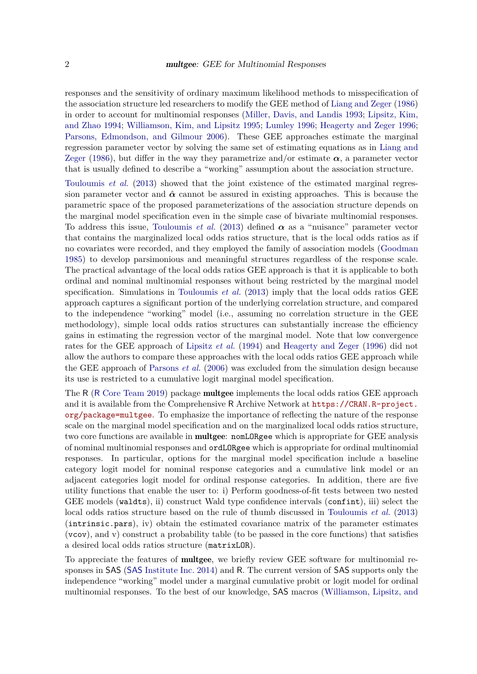responses and the sensitivity of ordinary maximum likelihood methods to misspecification of the association structure led researchers to modify the GEE method of [Liang and Zeger](#page-12-0) [\(1986\)](#page-12-0) in order to account for multinomial responses [\(Miller, Davis, and Landis 1993;](#page-13-2) [Lipsitz, Kim,](#page-12-1) [and Zhao 1994;](#page-12-1) [Williamson, Kim, and Lipsitz 1995;](#page-13-3) [Lumley 1996;](#page-13-4) [Heagerty and Zeger 1996;](#page-12-2) [Parsons, Edmondson, and Gilmour 2006\)](#page-13-5). These GEE approaches estimate the marginal regression parameter vector by solving the same set of estimating equations as in [Liang and](#page-12-0) [Zeger](#page-12-0) [\(1986\)](#page-12-0), but differ in the way they parametrize and/or estimate  $\alpha$ , a parameter vector that is usually defined to describe a "working" assumption about the association structure.

[Touloumis](#page-13-1) *et al.* [\(2013\)](#page-13-1) showed that the joint existence of the estimated marginal regression parameter vector and  $\hat{\alpha}$  cannot be assured in existing approaches. This is because the parametric space of the proposed parameterizations of the association structure depends on the marginal model specification even in the simple case of bivariate multinomial responses. To address this issue, [Touloumis](#page-13-1) *et al.* [\(2013\)](#page-13-1) defined  $\alpha$  as a "nuisance" parameter vector that contains the marginalized local odds ratios structure, that is the local odds ratios as if no covariates were recorded, and they employed the family of association models [\(Goodman](#page-12-3) [1985\)](#page-12-3) to develop parsimonious and meaningful structures regardless of the response scale. The practical advantage of the local odds ratios GEE approach is that it is applicable to both ordinal and nominal multinomial responses without being restricted by the marginal model specification. Simulations in [Touloumis](#page-13-1) *et al.* [\(2013\)](#page-13-1) imply that the local odds ratios GEE approach captures a significant portion of the underlying correlation structure, and compared to the independence "working" model (i.e., assuming no correlation structure in the GEE methodology), simple local odds ratios structures can substantially increase the efficiency gains in estimating the regression vector of the marginal model. Note that low convergence rates for the GEE approach of [Lipsitz](#page-12-1) *et al.* [\(1994\)](#page-12-1) and [Heagerty and Zeger](#page-12-2) [\(1996\)](#page-12-2) did not allow the authors to compare these approaches with the local odds ratios GEE approach while the GEE approach of [Parsons](#page-13-5) *et al.* [\(2006\)](#page-13-5) was excluded from the simulation design because its use is restricted to a cumulative logit marginal model specification.

The R (R [Core Team 2019\)](#page-13-6) package multgee implements the local odds ratios GEE approach and it is available from the Comprehensive R Archive Network at [https://CRAN.R-project.](https://CRAN.R-project.org/package=multgee) [org/package=multgee](https://CRAN.R-project.org/package=multgee). To emphasize the importance of reflecting the nature of the response scale on the marginal model specification and on the marginalized local odds ratios structure, two core functions are available in multgee: nomLORgee which is appropriate for GEE analysis of nominal multinomial responses and ordLORgee which is appropriate for ordinal multinomial responses. In particular, options for the marginal model specification include a baseline category logit model for nominal response categories and a cumulative link model or an adjacent categories logit model for ordinal response categories. In addition, there are five utility functions that enable the user to: i) Perform goodness-of-fit tests between two nested GEE models (waldts), ii) construct Wald type confidence intervals (confint), iii) select the local odds ratios structure based on the rule of thumb discussed in [Touloumis](#page-13-1) *et al.* [\(2013\)](#page-13-1) (intrinsic.pars), iv) obtain the estimated covariance matrix of the parameter estimates (vcov), and v) construct a probability table (to be passed in the core functions) that satisfies a desired local odds ratios structure (matrixLOR).

To appreciate the features of multgee, we briefly review GEE software for multinomial responses in SAS (SAS [Institute Inc. 2014\)](#page-13-7) and R. The current version of SAS supports only the independence "working" model under a marginal cumulative probit or logit model for ordinal multinomial responses. To the best of our knowledge, SAS macros [\(Williamson, Lipsitz, and](#page-13-8)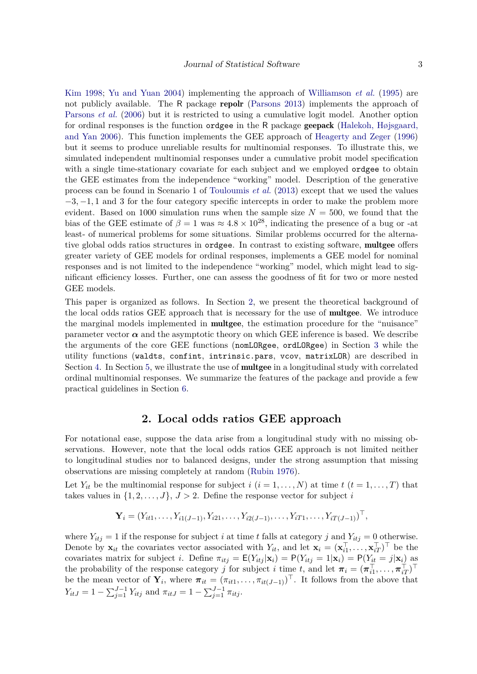[Kim 1998;](#page-13-8) [Yu and Yuan 2004\)](#page-13-9) implementing the approach of [Williamson](#page-13-3) *et al.* [\(1995\)](#page-13-3) are not publicly available. The R package repolr [\(Parsons 2013\)](#page-13-10) implements the approach of [Parsons](#page-13-5) *et al.* [\(2006\)](#page-13-5) but it is restricted to using a cumulative logit model. Another option for ordinal responses is the function ordgee in the R package geepack [\(Halekoh, Højsgaard,](#page-12-4) [and Yan 2006\)](#page-12-4). This function implements the GEE approach of [Heagerty and Zeger](#page-12-2) [\(1996\)](#page-12-2) but it seems to produce unreliable results for multinomial responses. To illustrate this, we simulated independent multinomial responses under a cumulative probit model specification with a single time-stationary covariate for each subject and we employed ordgee to obtain the GEE estimates from the independence "working" model. Description of the generative process can be found in Scenario 1 of [Touloumis](#page-13-1) *et al.* [\(2013\)](#page-13-1) except that we used the values −3*,* −1*,* 1 and 3 for the four category specific intercepts in order to make the problem more evident. Based on 1000 simulation runs when the sample size  $N = 500$ , we found that the bias of the GEE estimate of  $\beta = 1$  was  $\approx 4.8 \times 10^{28}$ , indicating the presence of a bug or -at least- of numerical problems for some situations. Similar problems occurred for the alternative global odds ratios structures in ordgee. In contrast to existing software, multgee offers greater variety of GEE models for ordinal responses, implements a GEE model for nominal responses and is not limited to the independence "working" model, which might lead to significant efficiency losses. Further, one can assess the goodness of fit for two or more nested GEE models.

This paper is organized as follows. In Section [2,](#page-2-0) we present the theoretical background of the local odds ratios GEE approach that is necessary for the use of multgee. We introduce the marginal models implemented in multgee, the estimation procedure for the "nuisance" parameter vector  $\alpha$  and the asymptotic theory on which GEE inference is based. We describe the arguments of the core GEE functions (nomLORgee, ordLORgee) in Section [3](#page-5-0) while the utility functions (waldts, confint, intrinsic.pars, vcov, matrixLOR) are described in Section [4.](#page-7-0) In Section [5,](#page-8-0) we illustrate the use of **multgee** in a longitudinal study with correlated ordinal multinomial responses. We summarize the features of the package and provide a few practical guidelines in Section [6.](#page-11-0)

## **2. Local odds ratios GEE approach**

<span id="page-2-0"></span>For notational ease, suppose the data arise from a longitudinal study with no missing observations. However, note that the local odds ratios GEE approach is not limited neither to longitudinal studies nor to balanced designs, under the strong assumption that missing observations are missing completely at random [\(Rubin 1976\)](#page-13-11).

Let  $Y_{it}$  be the multinomial response for subject  $i$  ( $i = 1, \ldots, N$ ) at time  $t$  ( $t = 1, \ldots, T$ ) that takes values in  $\{1, 2, \ldots, J\}, J > 2$ . Define the response vector for subject *i* 

$$
\mathbf{Y}_i = (Y_{i1}, \dots, Y_{i1(J-1)}, Y_{i21}, \dots, Y_{i2(J-1)}, \dots, Y_{iT1}, \dots, Y_{iT(J-1)})^\top,
$$

where  $Y_{itj} = 1$  if the response for subject *i* at time *t* falls at category *j* and  $Y_{itj} = 0$  otherwise. Denote by  $\mathbf{x}_{it}$  the covariates vector associated with  $Y_{it}$ , and let  $\mathbf{x}_i = (\mathbf{x}_{i1}^{\top})$  $\mathbf{x}_{i1}^{\top}, \ldots, \mathbf{x}_{iT}^{\top}$ )<sup> $\top$ </sup> be the covariates matrix for subject *i*. Define  $\pi_{itj} = \mathsf{E}(Y_{itj}|\mathbf{x}_i) = \mathsf{P}(Y_{itj} = 1|\mathbf{x}_i) = \mathsf{P}(Y_{itj} = j|\mathbf{x}_i)$  as the probability of the response category *j* for subject *i* time *t*, and let  $\pi_i = (\pi_{i1}^{\top})$  $\overline{\pi}_{i1}^{\top},\ldots,\overline{\pi}_{iT}^{\top})^{\top}$ be the mean vector of  $\mathbf{Y}_i$ , where  $\pi_{it} = (\pi_{it1}, \ldots, \pi_{it(J-1)})^\top$ . It follows from the above that  $Y_{itJ} = 1 - \sum_{j=1}^{J-1} Y_{itj}$  and  $\pi_{itJ} = 1 - \sum_{j=1}^{J-1} \pi_{itj}$ .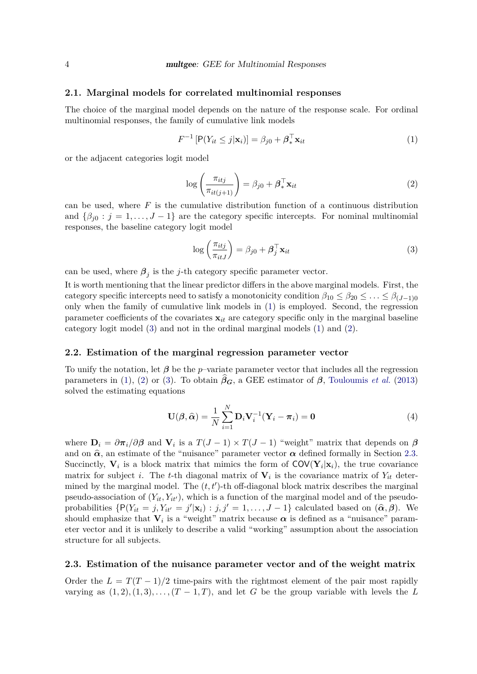#### **2.1. Marginal models for correlated multinomial responses**

The choice of the marginal model depends on the nature of the response scale. For ordinal multinomial responses, the family of cumulative link models

<span id="page-3-0"></span>
$$
F^{-1}\left[\mathsf{P}(Y_{it} \leq j|\mathbf{x}_i)\right] = \beta_{j0} + \boldsymbol{\beta}_*^{\top} \mathbf{x}_{it}
$$
\n(1)

<span id="page-3-2"></span>or the adjacent categories logit model

$$
\log\left(\frac{\pi_{itj}}{\pi_{it(j+1)}}\right) = \beta_{j0} + \boldsymbol{\beta}_*^{\top} \mathbf{x}_{it}
$$
\n(2)

can be used, where *F* is the cumulative distribution function of a continuous distribution and  $\{\beta_{i0} : j = 1, \ldots, J-1\}$  are the category specific intercepts. For nominal multinomial responses, the baseline category logit model

<span id="page-3-1"></span>
$$
\log\left(\frac{\pi_{itj}}{\pi_{itJ}}\right) = \beta_{j0} + \boldsymbol{\beta}_j^\top \mathbf{x}_{it}
$$
\n(3)

can be used, where  $\beta_j$  is the *j*-th category specific parameter vector.

It is worth mentioning that the linear predictor differs in the above marginal models. First, the category specific intercepts need to satisfy a monotonicity condition  $\beta_{10} \leq \beta_{20} \leq \ldots \leq \beta_{(J-1)0}$ only when the family of cumulative link models in [\(1\)](#page-3-0) is employed. Second, the regression parameter coefficients of the covariates **x***it* are category specific only in the marginal baseline category logit model [\(3\)](#page-3-1) and not in the ordinal marginal models [\(1\)](#page-3-0) and [\(2\)](#page-3-2).

#### **2.2. Estimation of the marginal regression parameter vector**

To unify the notation, let  $\beta$  be the *p*–variate parameter vector that includes all the regression parameters in [\(1\)](#page-3-0), [\(2\)](#page-3-2) or [\(3\)](#page-3-1). To obtain  $\beta_G$ , a GEE estimator of  $\beta$ , [Touloumis](#page-13-1) *et al.* [\(2013\)](#page-13-1) solved the estimating equations

<span id="page-3-4"></span>
$$
\mathbf{U}(\boldsymbol{\beta},\widehat{\boldsymbol{\alpha}}) = \frac{1}{N} \sum_{i=1}^{N} \mathbf{D}_i \mathbf{V}_i^{-1} (\mathbf{Y}_i - \boldsymbol{\pi}_i) = \mathbf{0}
$$
(4)

where  $\mathbf{D}_i = \partial \pi_i / \partial \beta$  and  $\mathbf{V}_i$  is a  $T(J-1) \times T(J-1)$  "weight" matrix that depends on  $\beta$ and on  $\hat{\alpha}$ , an estimate of the "nuisance" parameter vector  $\alpha$  defined formally in Section [2.3.](#page-3-3) Succinctly,  $V_i$  is a block matrix that mimics the form of  $COV(Y_i|x_i)$ , the true covariance matrix for subject *i*. The *t*-th diagonal matrix of  $V_i$  is the covariance matrix of  $Y_{it}$  determined by the marginal model. The  $(t, t')$ -th off-diagonal block matrix describes the marginal pseudo-association of  $(Y_{it}, Y_{it'})$ , which is a function of the marginal model and of the pseudoprobabilities  $\{P(Y_{it} = j, Y_{it'} = j' | \mathbf{x}_i) : j, j' = 1, ..., J - 1\}$  calculated based on  $(\hat{\alpha}, \hat{\beta})$ . We should emphasize that  $V_i$  is a "weight" matrix because  $\alpha$  is defined as a "nuisance" parameter vector and it is unlikely to describe a valid "working" assumption about the association structure for all subjects.

#### <span id="page-3-3"></span>**2.3. Estimation of the nuisance parameter vector and of the weight matrix**

Order the  $L = T(T-1)/2$  time-pairs with the rightmost element of the pair most rapidly varying as  $(1, 2), (1, 3), \ldots, (T-1, T)$ , and let *G* be the group variable with levels the *L*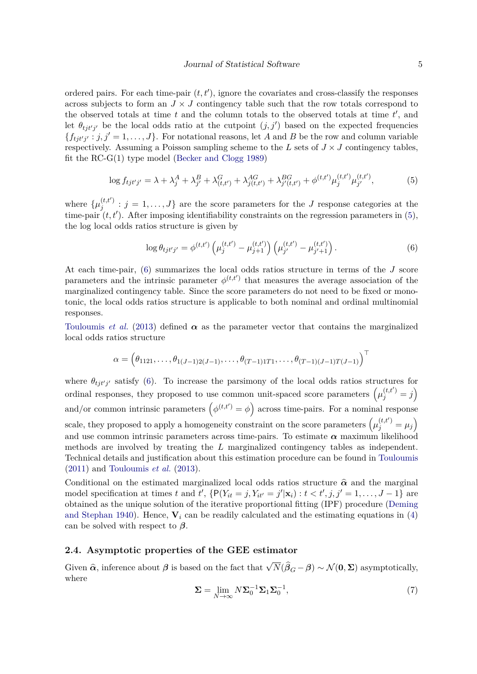ordered pairs. For each time-pair  $(t, t')$ , ignore the covariates and cross-classify the responses across subjects to form an  $J \times J$  contingency table such that the row totals correspond to the observed totals at time  $t$  and the column totals to the observed totals at time  $t'$ , and let  $\theta_{tjt'j'}$  be the local odds ratio at the cutpoint  $(j, j')$  based on the expected frequencies  ${f_{tj t'j'} : j, j' = 1, \ldots, J}$ . For notational reasons, let *A* and *B* be the row and column variable respectively. Assuming a Poisson sampling scheme to the *L* sets of  $J \times J$  contingency tables, fit the RC-G(1) type model [\(Becker and Clogg 1989\)](#page-12-5)

$$
\log f_{tjt'j'} = \lambda + \lambda_j^A + \lambda_{j'}^B + \lambda_{(t,t')}^G + \lambda_{j(t,t')}^{AG} + \lambda_{j'(t,t')}^{BG} + \phi^{(t,t')} \mu_j^{(t,t')} \mu_{j'}^{(t,t')},\tag{5}
$$

where  $\{\mu_j^{(t,t')}$  $j_i^{(i,t)}$ :  $j = 1, \ldots, J$  are the score parameters for the *J* response categories at the time-pair  $(t, t')$ . After imposing identifiability constraints on the regression parameters in  $(5)$ , the log local odds ratios structure is given by

<span id="page-4-1"></span><span id="page-4-0"></span>
$$
\log \theta_{tjt'j'} = \phi^{(t,t')} \left( \mu_j^{(t,t')} - \mu_{j+1}^{(t,t')} \right) \left( \mu_{j'}^{(t,t')} - \mu_{j'+1}^{(t,t')} \right). \tag{6}
$$

At each time-pair, [\(6\)](#page-4-1) summarizes the local odds ratios structure in terms of the *J* score parameters and the intrinsic parameter  $\phi^{(t,t')}$  that measures the average association of the marginalized contingency table. Since the score parameters do not need to be fixed or monotonic, the local odds ratios structure is applicable to both nominal and ordinal multinomial responses.

[Touloumis](#page-13-1) *et al.* [\(2013\)](#page-13-1) defined  $\alpha$  as the parameter vector that contains the marginalized local odds ratios structure

$$
\alpha = (\theta_{1121}, \ldots, \theta_{1(J-1)2(J-1)}, \ldots, \theta_{(T-1)1T1}, \ldots, \theta_{(T-1)(J-1)T(J-1)})^{\top}
$$

where  $\theta_{tj t'j'}$  satisfy [\(6\)](#page-4-1). To increase the parsimony of the local odds ratios structures for ordinal responses, they proposed to use common unit-spaced score parameters  $(\mu_j^{(t,t')}=j)$ and/or common intrinsic parameters  $(\phi^{(t,t\prime)} = \phi)$  across time-pairs. For a nominal response scale, they proposed to apply a homogeneity constraint on the score parameters  $(\mu_j^{(t,t')} = \mu_j)$ and use common intrinsic parameters across time-pairs. To estimate  $\alpha$  maximum likelihood methods are involved by treating the *L* marginalized contingency tables as independent. Technical details and justification about this estimation procedure can be found in [Touloumis](#page-13-12) [\(2011\)](#page-13-12) and [Touloumis](#page-13-1) *et al.* [\(2013\)](#page-13-1).

Conditional on the estimated marginalized local odds ratios structure  $\hat{\alpha}$  and the marginal model specification at times *t* and  $t'$ , {P( $Y_{it} = j$ ,  $Y_{it'} = j'|\mathbf{x}_i$ ) :  $t < t', j, j' = 1, ..., J - 1$ } are obtained as the unique solution of the iterative proportional fitting (IPF) procedure [\(Deming](#page-12-6) [and Stephan 1940\)](#page-12-6). Hence,  $V_i$  can be readily calculated and the estimating equations in [\(4\)](#page-3-4) can be solved with respect to *β*.

### **2.4. Asymptotic properties of the GEE estimator**

<span id="page-4-2"></span>Given  $\hat{\alpha}$ , inference about  $\beta$  is based on the fact that  $\sqrt{N}(\hat{\beta}_G - \beta) \sim \mathcal{N}(\mathbf{0}, \Sigma)$  asymptotically, where

$$
\Sigma = \lim_{N \to \infty} N \Sigma_0^{-1} \Sigma_1 \Sigma_0^{-1},\tag{7}
$$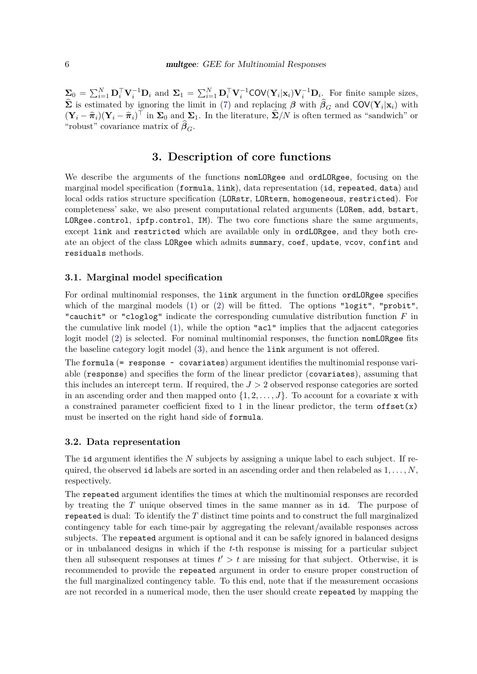$\Sigma_0 = \sum_{i=1}^N \mathbf{D}_i^\top \mathbf{V}_i^{-1} \mathbf{D}_i$  and  $\Sigma_1 = \sum_{i=1}^N \mathbf{D}_i^\top \mathbf{V}_i^{-1} \text{COV}(\mathbf{Y}_i | \mathbf{x}_i) \mathbf{V}_i^{-1} \mathbf{D}_i$ . For finite sample sizes,  $\hat{\mathbf{\Sigma}}$  is estimated by ignoring the limit in [\(7\)](#page-4-2) and replacing  $\beta$  with  $\hat{\beta}_G$  and COV( $\mathbf{Y}_i|\mathbf{x}_i$ ) with  $(\mathbf{Y}_i - \hat{\pi}_i)(\mathbf{Y}_i - \hat{\pi}_i)^\top$  in  $\Sigma_0$  and  $\Sigma_1$ . In the literature,  $\hat{\Sigma}/N$  is often termed as "sandwich" or "robust" covariance matrix of  $\beta_G$ .

## **3. Description of core functions**

<span id="page-5-0"></span>We describe the arguments of the functions nomLORgee and ordLORgee, focusing on the marginal model specification (formula, link), data representation (id, repeated, data) and local odds ratios structure specification (LORstr, LORterm, homogeneous, restricted). For completeness' sake, we also present computational related arguments (LORem, add, bstart, LORgee.control, ipfp.control, IM). The two core functions share the same arguments, except link and restricted which are available only in ordLORgee, and they both create an object of the class LORgee which admits summary, coef, update, vcov, confint and residuals methods.

#### **3.1. Marginal model specification**

For ordinal multinomial responses, the link argument in the function ordLORgee specifies which of the marginal models  $(1)$  or  $(2)$  will be fitted. The options "logit", "probit", "cauchit" or "cloglog" indicate the corresponding cumulative distribution function *F* in the cumulative link model [\(1\)](#page-3-0), while the option "acl" implies that the adjacent categories logit model [\(2\)](#page-3-2) is selected. For nominal multinomial responses, the function nomLORgee fits the baseline category logit model [\(3\)](#page-3-1), and hence the link argument is not offered.

The formula  $(=$  response  $\sim$  covariates) argument identifies the multinomial response variable (response) and specifies the form of the linear predictor (covariates), assuming that this includes an intercept term. If required, the *J >* 2 observed response categories are sorted in an ascending order and then mapped onto  $\{1, 2, \ldots, J\}$ . To account for a covariate x with a constrained parameter coefficient fixed to 1 in the linear predictor, the term of fset $(x)$ must be inserted on the right hand side of formula.

#### **3.2. Data representation**

The id argument identifies the *N* subjects by assigning a unique label to each subject. If required, the observed id labels are sorted in an ascending order and then relabeled as 1*, . . . , N*, respectively.

The repeated argument identifies the times at which the multinomial responses are recorded by treating the *T* unique observed times in the same manner as in id. The purpose of repeated is dual: To identify the *T* distinct time points and to construct the full marginalized contingency table for each time-pair by aggregating the relevant/available responses across subjects. The repeated argument is optional and it can be safely ignored in balanced designs or in unbalanced designs in which if the *t*-th response is missing for a particular subject then all subsequent responses at times  $t' > t$  are missing for that subject. Otherwise, it is recommended to provide the repeated argument in order to ensure proper construction of the full marginalized contingency table. To this end, note that if the measurement occasions are not recorded in a numerical mode, then the user should create repeated by mapping the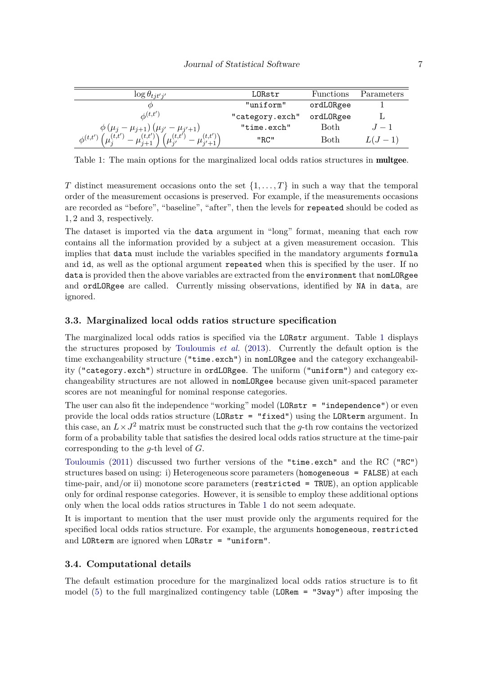| $\log \theta_{tjt'j'}$                                             | LORstr          | Functions | Parameters |
|--------------------------------------------------------------------|-----------------|-----------|------------|
|                                                                    | "uniform"       | ordLORgee |            |
| $\phi^{(t,t')}$                                                    | "category.exch" | ordLORgee |            |
| $\phi (\mu_j - \mu_{j+1}) (\mu_{j'} - \mu_{j'+1})$                 | "time.exch"     | Both      | $-1$       |
| (t,t')<br>(t,t)<br>(t,t')<br>(t,t')<br>$\phi^{(t,t')}$<br>$i' + 1$ | "RC"            | Both      | $L(J-1)$   |

<span id="page-6-0"></span>Table 1: The main options for the marginalized local odds ratios structures in **multgee**.

*T* distinct measurement occasions onto the set  $\{1, \ldots, T\}$  in such a way that the temporal order of the measurement occasions is preserved. For example, if the measurements occasions are recorded as "before", "baseline", "after", then the levels for repeated should be coded as 1*,* 2 and 3, respectively.

The dataset is imported via the data argument in "long" format, meaning that each row contains all the information provided by a subject at a given measurement occasion. This implies that data must include the variables specified in the mandatory arguments formula and id, as well as the optional argument repeated when this is specified by the user. If no data is provided then the above variables are extracted from the environment that nomLORgee and ordLORgee are called. Currently missing observations, identified by NA in data, are ignored.

#### **3.3. Marginalized local odds ratios structure specification**

The marginalized local odds ratios is specified via the LORstr argument. Table [1](#page-6-0) displays the structures proposed by [Touloumis](#page-13-1) *et al.* [\(2013\)](#page-13-1). Currently the default option is the time exchangeability structure ("time.exch") in nomLORgee and the category exchangeability ("category.exch") structure in ordLORgee. The uniform ("uniform") and category exchangeability structures are not allowed in nomLORgee because given unit-spaced parameter scores are not meaningful for nominal response categories.

The user can also fit the independence "working" model (LORstr = "independence") or even provide the local odds ratios structure (LORstr = "fixed") using the LORterm argument. In this case, an  $L \times J^2$  matrix must be constructed such that the *g*-th row contains the vectorized form of a probability table that satisfies the desired local odds ratios structure at the time-pair corresponding to the *g*-th level of *G*.

[Touloumis](#page-13-12) [\(2011\)](#page-13-12) discussed two further versions of the "time.exch" and the RC ("RC") structures based on using: i) Heterogeneous score parameters (homogeneous = FALSE) at each time-pair, and/or ii) monotone score parameters (restricted = TRUE), an option applicable only for ordinal response categories. However, it is sensible to employ these additional options only when the local odds ratios structures in Table [1](#page-6-0) do not seem adequate.

It is important to mention that the user must provide only the arguments required for the specified local odds ratios structure. For example, the arguments homogeneous, restricted and LORterm are ignored when LORstr = "uniform".

#### **3.4. Computational details**

The default estimation procedure for the marginalized local odds ratios structure is to fit model [\(5\)](#page-4-0) to the full marginalized contingency table (LORem = "3way") after imposing the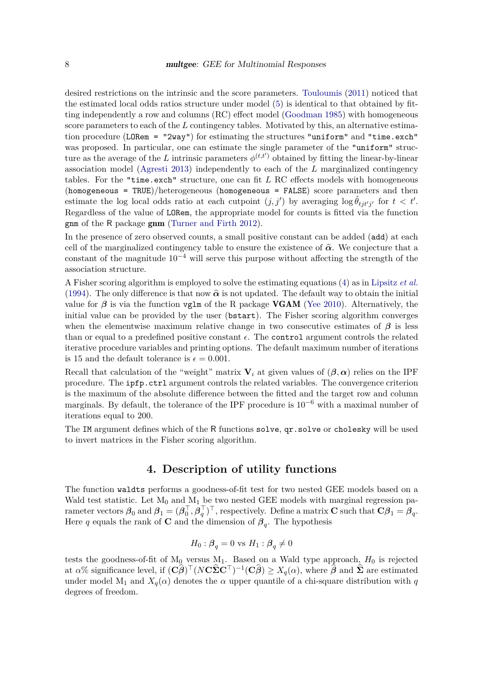desired restrictions on the intrinsic and the score parameters. [Touloumis](#page-13-12) [\(2011\)](#page-13-12) noticed that the estimated local odds ratios structure under model [\(5\)](#page-4-0) is identical to that obtained by fitting independently a row and columns (RC) effect model [\(Goodman 1985\)](#page-12-3) with homogeneous score parameters to each of the L contingency tables. Motivated by this, an alternative estimation procedure (LORem = "2way") for estimating the structures "uniform" and "time.exch" was proposed. In particular, one can estimate the single parameter of the "uniform" structure as the average of the *L* intrinsic parameters  $\phi^{(t,t')}$  obtained by fitting the linear-by-linear association model [\(Agresti 2013\)](#page-12-7) independently to each of the *L* marginalized contingency tables. For the "time.exch" structure, one can fit *L* RC effects models with homogeneous (homogeneous = TRUE)/heterogeneous (homogeneous = FALSE) score parameters and then estimate the log local odds ratio at each cutpoint  $(j, j')$  by averaging  $\log \hat{\theta}_{t j t' j'}$  for  $t < t'$ . Regardless of the value of LORem, the appropriate model for counts is fitted via the function gnm of the R package gnm [\(Turner and Firth 2012\)](#page-13-13).

In the presence of zero observed counts, a small positive constant can be added (add) at each cell of the marginalized contingency table to ensure the existence of  $\hat{\alpha}$ . We conjecture that a constant of the magnitude  $10^{-4}$  will serve this purpose without affecting the strength of the association structure.

A Fisher scoring algorithm is employed to solve the estimating equations [\(4\)](#page-3-4) as in [Lipsitz](#page-12-1) *et al.* [\(1994\)](#page-12-1). The only difference is that now  $\hat{\alpha}$  is not updated. The default way to obtain the initial value for  $\beta$  is via the function vglm of the R package **VGAM** [\(Yee 2010\)](#page-13-14). Alternatively, the initial value can be provided by the user (bstart). The Fisher scoring algorithm converges when the elementwise maximum relative change in two consecutive estimates of  $\beta$  is less than or equal to a predefined positive constant  $\epsilon$ . The control argument controls the related iterative procedure variables and printing options. The default maximum number of iterations is 15 and the default tolerance is  $\epsilon = 0.001$ .

Recall that calculation of the "weight" matrix  $V_i$  at given values of  $(\beta, \alpha)$  relies on the IPF procedure. The ipfp.ctrl argument controls the related variables. The convergence criterion is the maximum of the absolute difference between the fitted and the target row and column marginals. By default, the tolerance of the IPF procedure is  $10^{-6}$  with a maximal number of iterations equal to 200.

<span id="page-7-0"></span>The IM argument defines which of the R functions solve, qr.solve or cholesky will be used to invert matrices in the Fisher scoring algorithm.

## **4. Description of utility functions**

The function waldts performs a goodness-of-fit test for two nested GEE models based on a Wald test statistic. Let  $M_0$  and  $M_1$  be two nested GEE models with marginal regression parameter vectors  $\boldsymbol{\beta}_0$  and  $\boldsymbol{\beta}_1 = (\boldsymbol{\beta}_0^{\top})$  $_{0}^{\top}, \bar{\bm{\beta}}_q^{\top}$  $(q^{\top})^{\top}$ , respectively. Define a matrix **C** such that  $\mathbf{C}\beta_1 = \beta_q$ . Here *q* equals the rank of **C** and the dimension of  $\beta_q$ . The hypothesis

$$
H_0: \beta_q = 0
$$
 vs  $H_1: \beta_q \neq 0$ 

tests the goodness-of-fit of  $M_0$  versus  $M_1$ . Based on a Wald type approach,  $H_0$  is rejected at  $\alpha$ % significance level, if  $(C\hat{\beta})^{\top} (N\mathbf{C}\hat{\boldsymbol{\Sigma}}\mathbf{C}^{\top})^{-1} (C\hat{\beta}) \ge X_q(\alpha)$ , where  $\hat{\beta}$  and  $\hat{\boldsymbol{\Sigma}}$  are estimated under model M<sub>1</sub> and  $X_q(\alpha)$  denotes the  $\alpha$  upper quantile of a chi-square distribution with *q* degrees of freedom.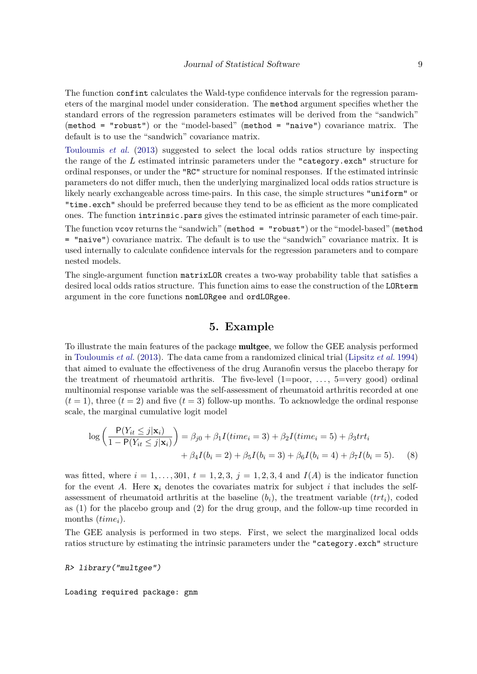The function confint calculates the Wald-type confidence intervals for the regression parameters of the marginal model under consideration. The method argument specifies whether the standard errors of the regression parameters estimates will be derived from the "sandwich" (method = "robust") or the "model-based" (method = "naive") covariance matrix. The default is to use the "sandwich" covariance matrix.

[Touloumis](#page-13-1) *et al.* [\(2013\)](#page-13-1) suggested to select the local odds ratios structure by inspecting the range of the *L* estimated intrinsic parameters under the "category.exch" structure for ordinal responses, or under the "RC" structure for nominal responses. If the estimated intrinsic parameters do not differ much, then the underlying marginalized local odds ratios structure is likely nearly exchangeable across time-pairs. In this case, the simple structures "uniform" or "time.exch" should be preferred because they tend to be as efficient as the more complicated ones. The function intrinsic.pars gives the estimated intrinsic parameter of each time-pair.

The function vcov returns the "sandwich" (method = "robust") or the "model-based" (method = "naive") covariance matrix. The default is to use the "sandwich" covariance matrix. It is used internally to calculate confidence intervals for the regression parameters and to compare nested models.

<span id="page-8-0"></span>The single-argument function matrixLOR creates a two-way probability table that satisfies a desired local odds ratios structure. This function aims to ease the construction of the LORterm argument in the core functions nomLORgee and ordLORgee.

## <span id="page-8-1"></span>**5. Example**

To illustrate the main features of the package multgee, we follow the GEE analysis performed in [Touloumis](#page-13-1) *et al.* [\(2013\)](#page-13-1). The data came from a randomized clinical trial [\(Lipsitz](#page-12-1) *et al.* [1994\)](#page-12-1) that aimed to evaluate the effectiveness of the drug Auranofin versus the placebo therapy for the treatment of rheumatoid arthritis. The five-level  $(1=poor, \ldots, 5=very good)$  ordinal multinomial response variable was the self-assessment of rheumatoid arthritis recorded at one  $(t = 1)$ , three  $(t = 2)$  and five  $(t = 3)$  follow-up months. To acknowledge the ordinal response scale, the marginal cumulative logit model

$$
\log\left(\frac{P(Y_{it} \le j | \mathbf{x}_i)}{1 - P(Y_{it} \le j | \mathbf{x}_i)}\right) = \beta_{j0} + \beta_1 I \left( \text{time}_i = 3 \right) + \beta_2 I \left( \text{time}_i = 5 \right) + \beta_3 \text{trt}_i + \beta_4 I (b_i = 2) + \beta_5 I (b_i = 3) + \beta_6 I (b_i = 4) + \beta_7 I (b_i = 5). \tag{8}
$$

was fitted, where  $i = 1, \ldots, 301, t = 1, 2, 3, j = 1, 2, 3, 4$  and  $I(A)$  is the indicator function for the event A. Here  $\mathbf{x}_i$  denotes the covariates matrix for subject i that includes the selfassessment of rheumatoid arthritis at the baseline  $(b_i)$ , the treatment variable  $(trt_i)$ , coded as (1) for the placebo group and (2) for the drug group, and the follow-up time recorded in months (*timei*).

The GEE analysis is performed in two steps. First, we select the marginalized local odds ratios structure by estimating the intrinsic parameters under the "category.exch" structure

R> library("multgee")

Loading required package: gnm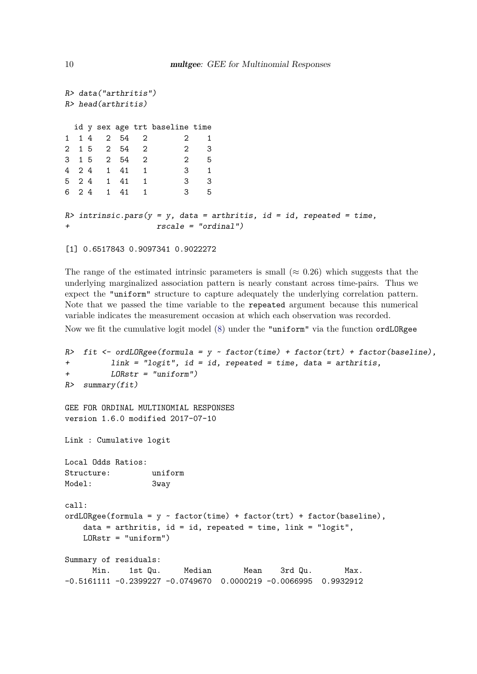```
R> data("arthritis")
R> head(arthritis)
 id y sex age trt baseline time
1 1 4 2 54 2 2 1
2 1 5 2 54 2 2 3
3 1 5 2 54 2 2 5
4 2 4 1 41 1 3 1
5 2 4 1 41 1 3 3
6 2 4 1 41 1 3 5
R> intrinsic.pars(y = y, data = arthritis, id = id, repeated = time,
+ rscale = "ordinal")
```

```
[1] 0.6517843 0.9097341 0.9022272
```
The range of the estimated intrinsic parameters is small ( $\approx 0.26$ ) which suggests that the underlying marginalized association pattern is nearly constant across time-pairs. Thus we expect the "uniform" structure to capture adequately the underlying correlation pattern. Note that we passed the time variable to the repeated argument because this numerical variable indicates the measurement occasion at which each observation was recorded.

Now we fit the cumulative logit model [\(8\)](#page-8-1) under the "uniform" via the function ordLORgee

```
R> fit \leq ordLORgee(formula = y \sim factor(time) + factor(trt) + factor(baseline),
+ link = "logit", id = id, repeated = time, data = arthritis,
+ LORstr = "uniform")
R> summary(fit)
GEE FOR ORDINAL MULTINOMIAL RESPONSES
version 1.6.0 modified 2017-07-10
Link : Cumulative logit
Local Odds Ratios:
Structure: uniform
Model: 3way
call\cdotordLORgee(formula = y \sim factor(time) + factor(trt) + factor(baseline),
   data = arthritis, id = id, repeated = time, link = "logit",
   LORstr = "uniform")
Summary of residuals:
     Min. 1st Qu. Median Mean 3rd Qu. Max.
-0.5161111 -0.2399227 -0.0749670 0.0000219 -0.0066995 0.9932912
```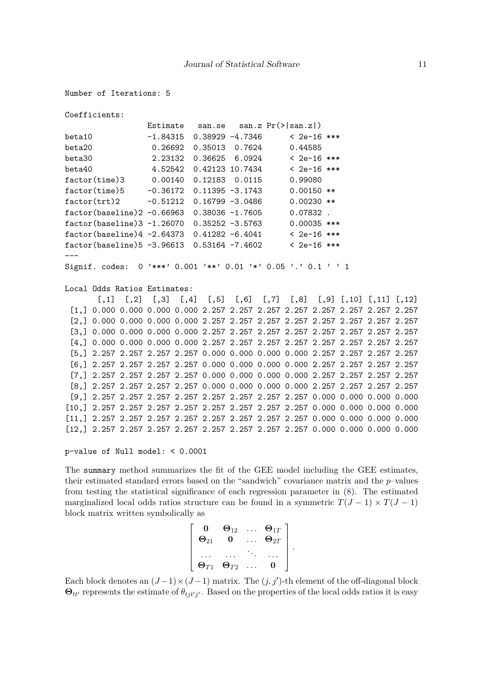```
Number of Iterations: 5
```

```
Coefficients:
                Estimate san.se san.z Pr(>|san.z|)
beta10 -1.84315 0.38929 -4.7346 < 2e-16 ***
beta20 0.26692 0.35013 0.7624 0.44585
beta30 2.23132 0.36625 6.0924 < 2e-16 ***
beta40 4.52542 0.42123 10.7434 < 2e-16 ***
factor(time)3 0.00140 0.12183 0.0115 0.99080
factor(time)5 -0.36172 0.11395 -3.1743 0.00150 **
factor(trt)2 -0.51212 0.16799 -3.0486 0.00230 **
factor(baseline)2 -0.66963 0.38036 -1.7605 0.07832 .
factor(baseline)3 -1.26070 0.35252 -3.5763 0.00035 ***
factor(baseline)4 -2.64373 0.41282 -6.4041 < 2e-16 ***
factor(baseline)5 -3.96613 0.53164 -7.4602 < 2e-16 ***
---
Signif. codes: 0 '***' 0.001 '**' 0.01 '*' 0.05 '.' 0.1 ' ' 1
Local Odds Ratios Estimates:
       [0,1] [0,2] [0,3] [0,4] [0,5] [0,6] [0,7] [0,8] [0,9] [0,10] [0,11] [0,12][1,] 0.000 0.000 0.000 0.000 2.257 2.257 2.257 2.257 2.257 2.257 2.257 2.257
 [2,] 0.000 0.000 0.000 0.000 2.257 2.257 2.257 2.257 2.257 2.257 2.257 2.257
 [3,] 0.000 0.000 0.000 0.000 2.257 2.257 2.257 2.257 2.257 2.257 2.257 2.257
 [4,] 0.000 0.000 0.000 0.000 2.257 2.257 2.257 2.257 2.257 2.257 2.257 2.257
 [5,] 2.257 2.257 2.257 2.257 0.000 0.000 0.000 0.000 2.257 2.257 2.257 2.257
 [6,] 2.257 2.257 2.257 2.257 0.000 0.000 0.000 0.000 2.257 2.257 2.257 2.257
 [7,] 2.257 2.257 2.257 2.257 0.000 0.000 0.000 0.000 2.257 2.257 2.257 2.257
 [8,] 2.257 2.257 2.257 2.257 0.000 0.000 0.000 0.000 2.257 2.257 2.257 2.257
 [9,] 2.257 2.257 2.257 2.257 2.257 2.257 2.257 2.257 0.000 0.000 0.000 0.000
[10,] 2.257 2.257 2.257 2.257 2.257 2.257 2.257 2.257 0.000 0.000 0.000 0.000
[11,] 2.257 2.257 2.257 2.257 2.257 2.257 2.257 2.257 0.000 0.000 0.000 0.000
[12,] 2.257 2.257 2.257 2.257 2.257 2.257 2.257 2.257 0.000 0.000 0.000 0.000
```

```
p-value of Null model: < 0.0001
```
The summary method summarizes the fit of the GEE model including the GEE estimates, their estimated standard errors based on the "sandwich" covariance matrix and the *p*–values from testing the statistical significance of each regression parameter in [\(8\)](#page-8-1). The estimated marginalized local odds ratios structure can be found in a symmetric  $T(J-1) \times T(J-1)$ block matrix written symbolically as

$$
\left[\begin{array}{ccccc}\n\mathbf{0} & \mathbf{\Theta}_{12} & \dots & \mathbf{\Theta}_{1T} \\
\mathbf{\Theta}_{21} & \mathbf{0} & \dots & \mathbf{\Theta}_{2T} \\
\vdots & \vdots & \ddots & \vdots \\
\mathbf{\Theta}_{T1} & \mathbf{\Theta}_{T2} & \dots & \mathbf{0}\n\end{array}\right].
$$

Each block denotes an  $(J-1) \times (J-1)$  matrix. The  $(j, j')$ -th element of the off-diagonal block  $\Theta_{tt'}$  represents the estimate of  $\theta_{tjt'j'}$ . Based on the properties of the local odds ratios it is easy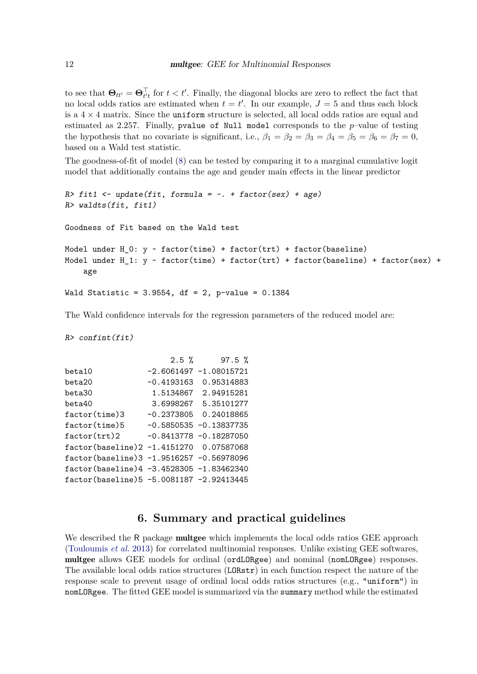to see that  $\Theta_{tt'} = \Theta_{t't}^{\top}$  for  $t < t'$ . Finally, the diagonal blocks are zero to reflect the fact that no local odds ratios are estimated when  $t = t'$ . In our example,  $J = 5$  and thus each block is a  $4 \times 4$  matrix. Since the uniform structure is selected, all local odds ratios are equal and estimated as 2*.*257. Finally, pvalue of Null model corresponds to the *p*–value of testing the hypothesis that no covariate is significant, i.e.,  $\beta_1 = \beta_2 = \beta_3 = \beta_4 = \beta_5 = \beta_6 = \beta_7 = 0$ , based on a Wald test statistic.

The goodness-of-fit of model [\(8\)](#page-8-1) can be tested by comparing it to a marginal cumulative logit model that additionally contains the age and gender main effects in the linear predictor

```
R> fit1 <- update(fit, formula = \sim. + factor(sex) + age)
R> waldts(fit, fit1)
Goodness of Fit based on the Wald test
Model under H_0: y \sim factor(time) + factor(trt) + factor(baseline)
Model under H_1: y \sim factor(time) + factor(trt) + factor(baseline) + factor(sex) +
    age
Wald Statistic = 3.9554, df = 2, p-value = 0.1384
```
The Wald confidence intervals for the regression parameters of the reduced model are:

R> confint(fit)

|                                          | $2.5 \%$     | $97.5 \%$                 |
|------------------------------------------|--------------|---------------------------|
| beta10                                   |              | $-2.6061497 -1.08015721$  |
| beta20                                   | $-0.4193163$ | 0.95314883                |
| beta30                                   | 1.5134867    | 2.94915281                |
| beta40                                   | 3.6998267    | 5.35101277                |
| $factor$ (time)3                         | -0.2373805   | 0.24018865                |
| $factor$ (time) $5$                      |              | $-0.5850535 - 0.13837735$ |
| factor(trt)2                             |              | $-0.8413778 - 0.18287050$ |
| factor(baseline)2 -1.4151270 0.07587068  |              |                           |
| factor(baseline)3 -1.9516257 -0.56978096 |              |                           |
| factor(baseline)4 -3.4528305 -1.83462340 |              |                           |
| factor(baseline)5 -5.0081187 -2.92413445 |              |                           |
|                                          |              |                           |

## **6. Summary and practical guidelines**

<span id="page-11-0"></span>We described the R package **multgee** which implements the local odds ratios GEE approach [\(Touloumis](#page-13-1) *et al.* [2013\)](#page-13-1) for correlated multinomial responses. Unlike existing GEE softwares, multgee allows GEE models for ordinal (ordLORgee) and nominal (nomLORgee) responses. The available local odds ratios structures (LORstr) in each function respect the nature of the response scale to prevent usage of ordinal local odds ratios structures (e.g., "uniform") in nomLORgee. The fitted GEE model is summarized via the summary method while the estimated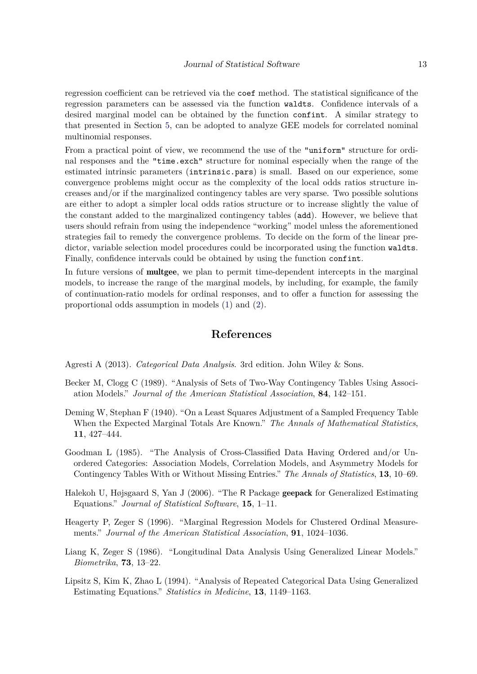regression coefficient can be retrieved via the coef method. The statistical significance of the regression parameters can be assessed via the function waldts. Confidence intervals of a desired marginal model can be obtained by the function confint. A similar strategy to that presented in Section [5,](#page-8-0) can be adopted to analyze GEE models for correlated nominal multinomial responses.

From a practical point of view, we recommend the use of the "uniform" structure for ordinal responses and the "time.exch" structure for nominal especially when the range of the estimated intrinsic parameters (intrinsic.pars) is small. Based on our experience, some convergence problems might occur as the complexity of the local odds ratios structure increases and/or if the marginalized contingency tables are very sparse. Two possible solutions are either to adopt a simpler local odds ratios structure or to increase slightly the value of the constant added to the marginalized contingency tables (add). However, we believe that users should refrain from using the independence "working" model unless the aforementioned strategies fail to remedy the convergence problems. To decide on the form of the linear predictor, variable selection model procedures could be incorporated using the function waldts. Finally, confidence intervals could be obtained by using the function confint.

In future versions of multgee, we plan to permit time-dependent intercepts in the marginal models, to increase the range of the marginal models, by including, for example, the family of continuation-ratio models for ordinal responses, and to offer a function for assessing the proportional odds assumption in models [\(1\)](#page-3-0) and [\(2\)](#page-3-2).

## **References**

<span id="page-12-7"></span>Agresti A (2013). *Categorical Data Analysis*. 3rd edition. John Wiley & Sons.

- <span id="page-12-5"></span>Becker M, Clogg C (1989). "Analysis of Sets of Two-Way Contingency Tables Using Association Models." *Journal of the American Statistical Association*, **84**, 142–151.
- <span id="page-12-6"></span>Deming W, Stephan F (1940). "On a Least Squares Adjustment of a Sampled Frequency Table When the Expected Marginal Totals Are Known." *The Annals of Mathematical Statistics*, **11**, 427–444.
- <span id="page-12-3"></span>Goodman L (1985). "The Analysis of Cross-Classified Data Having Ordered and/or Unordered Categories: Association Models, Correlation Models, and Asymmetry Models for Contingency Tables With or Without Missing Entries." *The Annals of Statistics*, **13**, 10–69.
- <span id="page-12-4"></span>Halekoh U, Højsgaard S, Yan J (2006). "The R Package geepack for Generalized Estimating Equations." *Journal of Statistical Software*, **15**, 1–11.
- <span id="page-12-2"></span>Heagerty P, Zeger S (1996). "Marginal Regression Models for Clustered Ordinal Measurements." *Journal of the American Statistical Association*, **91**, 1024–1036.
- <span id="page-12-0"></span>Liang K, Zeger S (1986). "Longitudinal Data Analysis Using Generalized Linear Models." *Biometrika*, **73**, 13–22.
- <span id="page-12-1"></span>Lipsitz S, Kim K, Zhao L (1994). "Analysis of Repeated Categorical Data Using Generalized Estimating Equations." *Statistics in Medicine*, **13**, 1149–1163.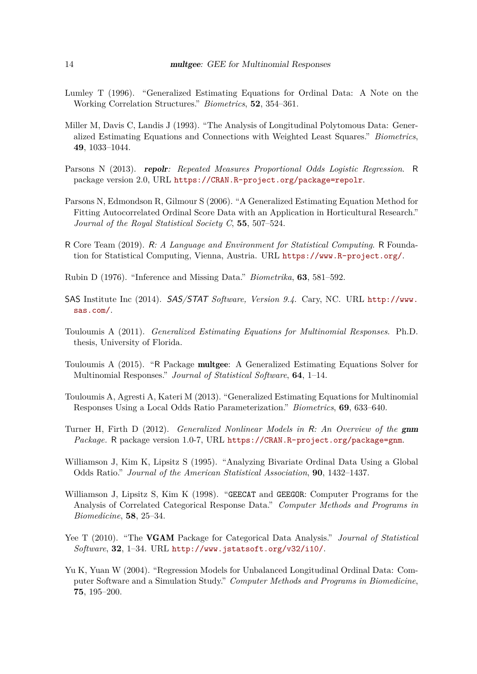- <span id="page-13-4"></span>Lumley T (1996). "Generalized Estimating Equations for Ordinal Data: A Note on the Working Correlation Structures." *Biometrics*, **52**, 354–361.
- <span id="page-13-2"></span>Miller M, Davis C, Landis J (1993). "The Analysis of Longitudinal Polytomous Data: Generalized Estimating Equations and Connections with Weighted Least Squares." *Biometrics*, **49**, 1033–1044.
- <span id="page-13-10"></span>Parsons N (2013). repolr*: Repeated Measures Proportional Odds Logistic Regression*. R package version 2.0, URL <https://CRAN.R-project.org/package=repolr>.
- <span id="page-13-5"></span>Parsons N, Edmondson R, Gilmour S (2006). "A Generalized Estimating Equation Method for Fitting Autocorrelated Ordinal Score Data with an Application in Horticultural Research." *Journal of the Royal Statistical Society C*, **55**, 507–524.
- <span id="page-13-6"></span>R Core Team (2019). R*: A Language and Environment for Statistical Computing*. R Foundation for Statistical Computing, Vienna, Austria. URL <https://www.R-project.org/>.
- <span id="page-13-11"></span>Rubin D (1976). "Inference and Missing Data." *Biometrika*, **63**, 581–592.
- <span id="page-13-7"></span>SAS Institute Inc (2014). SAS/STAT *Software, Version 9.4*. Cary, NC. URL [http://www.](http://www.sas.com/) [sas.com/](http://www.sas.com/).
- <span id="page-13-12"></span>Touloumis A (2011). *Generalized Estimating Equations for Multinomial Responses*. Ph.D. thesis, University of Florida.
- <span id="page-13-0"></span>Touloumis A (2015). "R Package multgee: A Generalized Estimating Equations Solver for Multinomial Responses." *Journal of Statistical Software*, **64**, 1–14.
- <span id="page-13-1"></span>Touloumis A, Agresti A, Kateri M (2013). "Generalized Estimating Equations for Multinomial Responses Using a Local Odds Ratio Parameterization." *Biometrics*, **69**, 633–640.
- <span id="page-13-13"></span>Turner H, Firth D (2012). *Generalized Nonlinear Models in* R*: An Overview of the* gnm *Package.* R package version 1.0-7, URL <https://CRAN.R-project.org/package=gnm>.
- <span id="page-13-3"></span>Williamson J, Kim K, Lipsitz S (1995). "Analyzing Bivariate Ordinal Data Using a Global Odds Ratio." *Journal of the American Statistical Association*, **90**, 1432–1437.
- <span id="page-13-8"></span>Williamson J, Lipsitz S, Kim K (1998). "GEECAT and GEEGOR: Computer Programs for the Analysis of Correlated Categorical Response Data." *Computer Methods and Programs in Biomedicine*, **58**, 25–34.
- <span id="page-13-14"></span>Yee T (2010). "The VGAM Package for Categorical Data Analysis." *Journal of Statistical Software*, **32**, 1–34. URL <http://www.jstatsoft.org/v32/i10/>.
- <span id="page-13-9"></span>Yu K, Yuan W (2004). "Regression Models for Unbalanced Longitudinal Ordinal Data: Computer Software and a Simulation Study." *Computer Methods and Programs in Biomedicine*, **75**, 195–200.